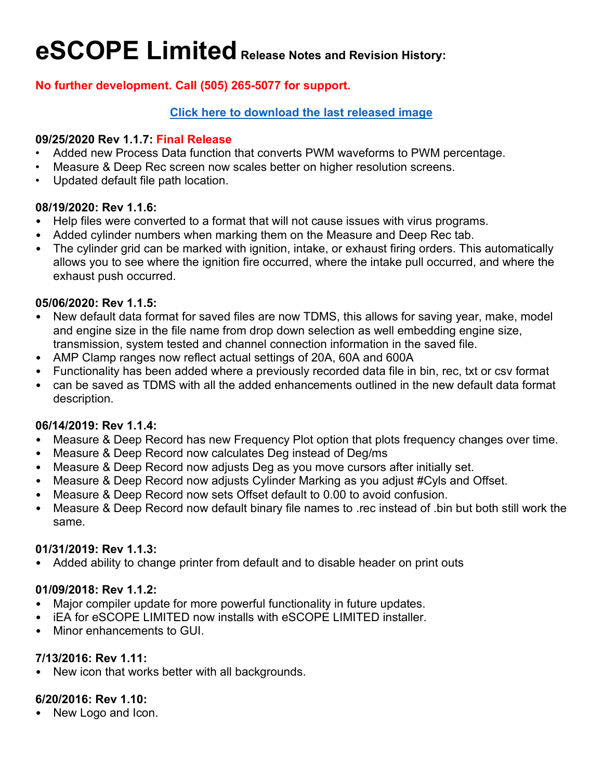# **eSCOPE Limited Release Notes and Revision History:**

## **No further development. Call (505) 265-5077 for support.**

## **[Click here to download the last released image](https://www.atsdownloads.com/SoftwareDistribution/Setup_eSCOPE_LTD_1.1.7.exe)**

#### **09/25/2020 Rev 1.1.7: Final Release**

- Added new Process Data function that converts PWM waveforms to PWM percentage.
- Measure & Deep Rec screen now scales better on higher resolution screens.
- Updated default file path location.

#### **08/19/2020: Rev 1.1.6:**

- Help files were converted to a format that will not cause issues with virus programs.
- Added cylinder numbers when marking them on the Measure and Deep Rec tab.
- The cylinder grid can be marked with ignition, intake, or exhaust firing orders. This automatically allows you to see where the ignition fire occurred, where the intake pull occurred, and where the exhaust push occurred.

#### **05/06/2020: Rev 1.1.5:**

- New default data format for saved files are now TDMS, this allows for saving year, make, model and engine size in the file name from drop down selection as well embedding engine size, transmission, system tested and channel connection information in the saved file.
- AMP Clamp ranges now reflect actual settings of 20A, 60A and 600A
- Functionality has been added where a previously recorded data file in bin, rec, txt or csv format
- can be saved as TDMS with all the added enhancements outlined in the new default data format description.

## **06/14/2019: Rev 1.1.4:**

- Measure & Deep Record has new Frequency Plot option that plots frequency changes over time.
- Measure & Deep Record now calculates Deg instead of Deg/ms
- Measure & Deep Record now adjusts Deg as you move cursors after initially set.
- Measure & Deep Record now adjusts Cylinder Marking as you adjust #Cyls and Offset.
- Measure & Deep Record now sets Offset default to 0.00 to avoid confusion.
- Measure & Deep Record now default binary file names to .rec instead of .bin but both still work the same.

#### **01/31/2019: Rev 1.1.3:**

Added ability to change printer from default and to disable header on print outs

## **01/09/2018: Rev 1.1.2:**

- Major compiler update for more powerful functionality in future updates.
- iEA for eSCOPE LIMITED now installs with eSCOPE LIMITED installer.
- Minor enhancements to GUI.

## **7/13/2016: Rev 1.11:**

New icon that works better with all backgrounds.

## **6/20/2016: Rev 1.10:**

• New Logo and Icon.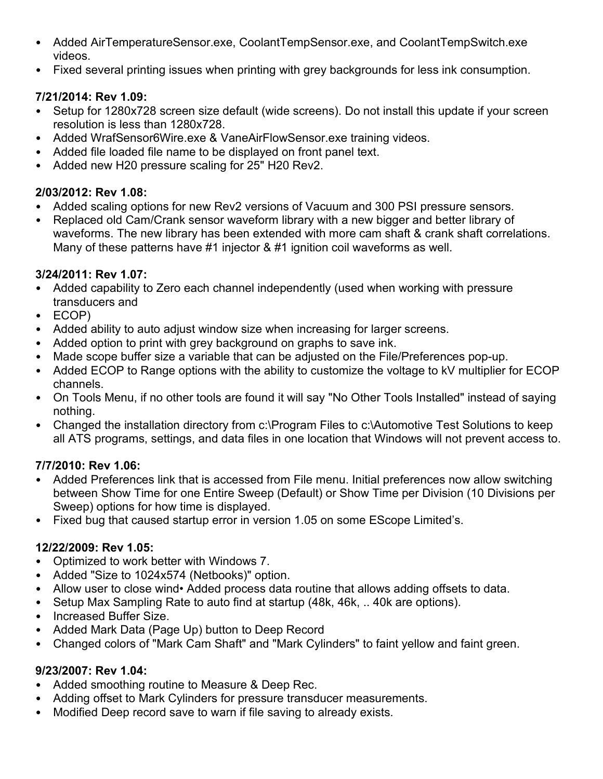- Added AirTemperatureSensor.exe, CoolantTempSensor.exe, and CoolantTempSwitch.exe videos.
- Fixed several printing issues when printing with grey backgrounds for less ink consumption.

## **7/21/2014: Rev 1.09:**

- Setup for 1280x728 screen size default (wide screens). Do not install this update if your screen resolution is less than 1280x728.
- Added WrafSensor6Wire.exe & VaneAirFlowSensor.exe training videos.
- Added file loaded file name to be displayed on front panel text.
- Added new H20 pressure scaling for 25" H20 Rev2.

## **2/03/2012: Rev 1.08:**

- Added scaling options for new Rev2 versions of Vacuum and 300 PSI pressure sensors.
- Replaced old Cam/Crank sensor waveform library with a new bigger and better library of waveforms. The new library has been extended with more cam shaft & crank shaft correlations. Many of these patterns have #1 injector & #1 ignition coil waveforms as well.

## **3/24/2011: Rev 1.07:**

- Added capability to Zero each channel independently (used when working with pressure transducers and
- ECOP)
- Added ability to auto adjust window size when increasing for larger screens.
- Added option to print with grey background on graphs to save ink.
- Made scope buffer size a variable that can be adjusted on the File/Preferences pop-up.
- Added ECOP to Range options with the ability to customize the voltage to kV multiplier for ECOP channels.
- On Tools Menu, if no other tools are found it will say "No Other Tools Installed" instead of saying nothing.
- Changed the installation directory from c:\Program Files to c:\Automotive Test Solutions to keep all ATS programs, settings, and data files in one location that Windows will not prevent access to.

# **7/7/2010: Rev 1.06:**

- Added Preferences link that is accessed from File menu. Initial preferences now allow switching between Show Time for one Entire Sweep (Default) or Show Time per Division (10 Divisions per Sweep) options for how time is displayed.
- Fixed bug that caused startup error in version 1.05 on some EScope Limited's.

# **12/22/2009: Rev 1.05:**

- Optimized to work better with Windows 7.
- Added "Size to 1024x574 (Netbooks)" option.
- Allow user to close wind• Added process data routine that allows adding offsets to data.
- Setup Max Sampling Rate to auto find at startup (48k, 46k, .. 40k are options).
- Increased Buffer Size.
- Added Mark Data (Page Up) button to Deep Record
- Changed colors of "Mark Cam Shaft" and "Mark Cylinders" to faint yellow and faint green.

# **9/23/2007: Rev 1.04:**

- Added smoothing routine to Measure & Deep Rec.
- Adding offset to Mark Cylinders for pressure transducer measurements.
- Modified Deep record save to warn if file saving to already exists.